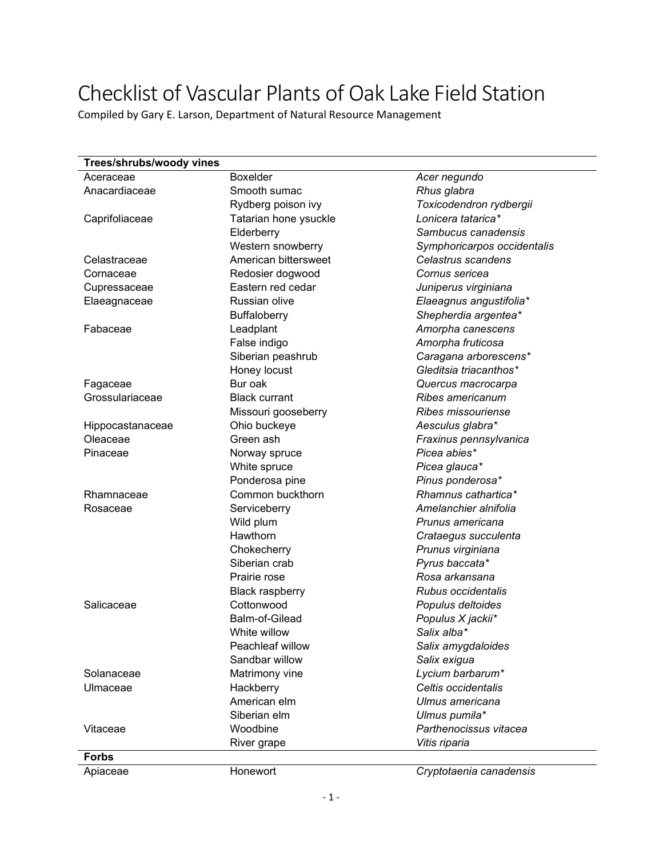## Checklist of Vascular Plants of Oak Lake Field Station

Compiled by Gary E. Larson, Department of Natural Resource Management

| Trees/shrubs/woody vines |                        |                             |
|--------------------------|------------------------|-----------------------------|
| Aceraceae                | Boxelder               | Acer negundo                |
| Anacardiaceae            | Smooth sumac           | Rhus glabra                 |
|                          | Rydberg poison ivy     | Toxicodendron rydbergii     |
| Caprifoliaceae           | Tatarian hone ysuckle  | Lonicera tatarica*          |
|                          | Elderberry             | Sambucus canadensis         |
|                          | Western snowberry      | Symphoricarpos occidentalis |
| Celastraceae             | American bittersweet   | Celastrus scandens          |
| Cornaceae                | Redosier dogwood       | Cornus sericea              |
| Cupressaceae             | Eastern red cedar      | Juniperus virginiana        |
| Elaeagnaceae             | Russian olive          | Elaeagnus angustifolia*     |
|                          | <b>Buffaloberry</b>    | Shepherdia argentea*        |
| Fabaceae                 | Leadplant              | Amorpha canescens           |
|                          | False indigo           | Amorpha fruticosa           |
|                          | Siberian peashrub      | Caragana arborescens*       |
|                          | Honey locust           | Gleditsia triacanthos*      |
| Fagaceae                 | Bur oak                | Quercus macrocarpa          |
| Grossulariaceae          | <b>Black currant</b>   | Ribes americanum            |
|                          | Missouri gooseberry    | Ribes missouriense          |
| Hippocastanaceae         | Ohio buckeye           | Aesculus glabra*            |
| Oleaceae                 | Green ash              | Fraxinus pennsylvanica      |
| Pinaceae                 | Norway spruce          | Picea abies*                |
|                          | White spruce           | Picea glauca*               |
|                          | Ponderosa pine         | Pinus ponderosa*            |
| Rhamnaceae               | Common buckthorn       | Rhamnus cathartica*         |
| Rosaceae                 | Serviceberry           | Amelanchier alnifolia       |
|                          | Wild plum              | Prunus americana            |
|                          | Hawthorn               | Crataegus succulenta        |
|                          | Chokecherry            | Prunus virginiana           |
|                          | Siberian crab          | Pyrus baccata*              |
|                          | Prairie rose           | Rosa arkansana              |
|                          | <b>Black raspberry</b> | Rubus occidentalis          |
| Salicaceae               | Cottonwood             | Populus deltoides           |
|                          | Balm-of-Gilead         | Populus X jackii*           |
|                          | White willow           | Salix alba*                 |
|                          | Peachleaf willow       | Salix amygdaloides          |
|                          | Sandbar willow         | Salix exigua                |
| Solanaceae               | Matrimony vine         | Lycium barbarum*            |
| Ulmaceae                 | Hackberry              | Celtis occidentalis         |
|                          | American elm           | Ulmus americana             |
|                          | Siberian elm           | Ulmus pumila*               |
| Vitaceae                 | Woodbine               | Parthenocissus vitacea      |
|                          | River grape            | Vitis riparia               |
| <b>Forbs</b>             |                        |                             |
|                          |                        |                             |

Apiaceae Honewort *Cryptotaenia canadensis*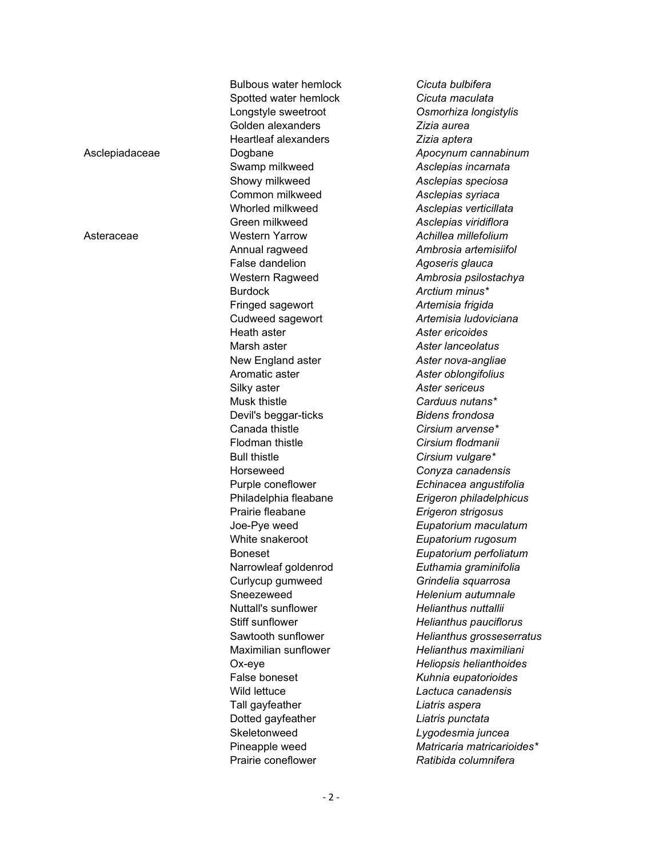|                | <b>Bulbous water hemlock</b>      | Cicuta bulbifera                           |
|----------------|-----------------------------------|--------------------------------------------|
|                | Spotted water hemlock             | Cicuta maculata                            |
|                | Longstyle sweetroot               | Osmorhiza longistylis                      |
|                | Golden alexanders                 | Zizia aurea                                |
|                | <b>Heartleaf alexanders</b>       | Zizia aptera                               |
| Asclepiadaceae | Dogbane                           | Apocynum cannabinum                        |
|                | Swamp milkweed                    | Asclepias incarnata                        |
|                | Showy milkweed                    | Asclepias speciosa                         |
|                | Common milkweed                   | Asclepias syriaca                          |
|                | Whorled milkweed                  | Asclepias verticillata                     |
|                | Green milkweed                    | Asclepias viridiflora                      |
| Asteraceae     | <b>Western Yarrow</b>             | Achillea millefolium                       |
|                | Annual ragweed                    | Ambrosia artemisiifol                      |
|                | False dandelion                   | Agoseris glauca                            |
|                | Western Ragweed                   | Ambrosia psilostachya                      |
|                | <b>Burdock</b>                    | Arctium minus*                             |
|                | Fringed sagewort                  | Artemisia frigida                          |
|                | Cudweed sagewort                  | Artemisia Iudoviciana                      |
|                | Heath aster                       | Aster ericoides                            |
|                | Marsh aster                       | Aster lanceolatus                          |
|                | New England aster                 | Aster nova-angliae                         |
|                | Aromatic aster                    | Aster oblongifolius                        |
|                | Silky aster                       | Aster sericeus                             |
|                | Musk thistle                      | Carduus nutans*                            |
|                | Devil's beggar-ticks              | <b>Bidens frondosa</b>                     |
|                | Canada thistle                    | Cirsium arvense*                           |
|                | Flodman thistle                   | Cirsium flodmanii                          |
|                | <b>Bull thistle</b>               | Cirsium vulgare*                           |
|                | Horseweed                         | Conyza canadensis                          |
|                | Purple coneflower                 | Echinacea angustifolia                     |
|                | Philadelphia fleabane             | Erigeron philadelphicus                    |
|                | Prairie fleabane                  | Erigeron strigosus                         |
|                | Joe-Pye weed                      | Eupatorium maculatum                       |
|                | White snakeroot                   | Eupatorium rugosum                         |
|                | <b>Boneset</b>                    | Eupatorium perfoliatum                     |
|                | Narrowleaf goldenrod              | Euthamia graminifolia                      |
|                | Curlycup gumweed                  | Grindelia squarrosa                        |
|                | Sneezeweed                        | Helenium autumnale                         |
|                | <b>Nuttall's sunflower</b>        | Helianthus nuttallii                       |
|                | Stiff sunflower                   | Helianthus pauciflorus                     |
|                | Sawtooth sunflower                | Helianthus grosseserratus                  |
|                | Maximilian sunflower              | Helianthus maximiliani                     |
|                | Ox-eye                            | Heliopsis helianthoides                    |
|                | False boneset                     |                                            |
|                | Wild lettuce                      | Kuhnia eupatorioides<br>Lactuca canadensis |
|                |                                   |                                            |
|                | Tall gayfeather                   | Liatris aspera                             |
|                | Dotted gayfeather<br>Skeletonweed | Liatris punctata                           |
|                |                                   | Lygodesmia juncea                          |
|                | Pineapple weed                    | Matricaria matricarioides*                 |
|                | Prairie coneflower                | Ratibida columnifera                       |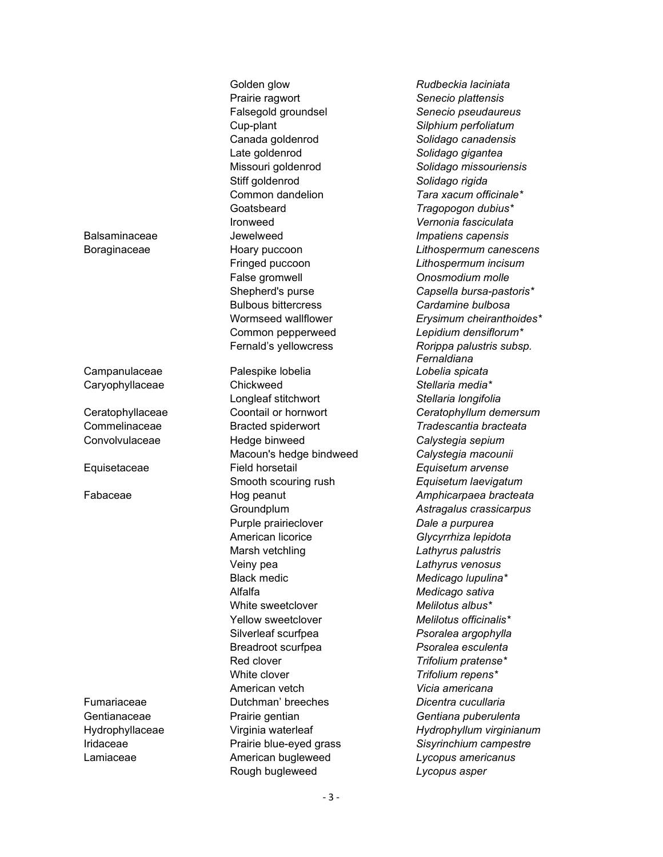Golden glow *Rudbeckia laciniata* Prairie ragwort *Senecio plattensis* Falsegold groundsel *Senecio pseudaureus*  Cup-plant *Silphium perfoliatum*  Canada goldenrod *Solidago canadensis*  Late goldenrod *Solidago gigantea*  Stiff goldenrod *Solidago rigida*  Goatsbeard *Tragopogon dubius\**  Ironweed *Vernonia fasciculata*  Balsaminaceae Jewelweed *Impatiens capensis* False gromwell *Onosmodium molle*  Bulbous bittercress *Cardamine bulbosa*

Campanulaceae Palespike lobelia *Lobelia spicata* Caryophyllaceae Chickweed *Stellaria media\** Longleaf stitchwort *Stellaria longifolia*  Commelinaceae Bracted spiderwort *Tradescantia bracteata* Convolvulaceae Hedge binweed *Calystegia sepium*  Macoun's hedge bindweed *Calystegia macounii*  Equisetaceae Field horsetail *Equisetum arvense*  Smooth scouring rush *Equisetum laevigatum* Purple prairieclover *Dale a purpurea*  American licorice *Glycyrrhiza lepidota*  Marsh vetchling *Lathyrus palustris*  Veiny pea *Lathyrus venosus*  Black medic *Medicago lupulina\**  Alfalfa *Medicago sativa*  White sweetclover *Melilotus albus\**  Yellow sweetclover *Melilotus officinalis\**  Silverleaf scurfpea *Psoralea argophylla*  Breadroot scurfpea *Psoralea esculenta*  Red clover *Trifolium pratense\**  White clover *Trifolium repens\**  American vetch *Vicia americana*  Fumariaceae Dutchman' breeches *Dicentra cucullaria*  Gentianaceae Prairie gentian *Gentiana puberulenta* Lamiaceae American bugleweed *Lycopus americanus*  Rough bugleweed *Lycopus asper* 

Missouri goldenrod *Solidago missouriensis*  Common dandelion *Tara xacum officinale\** Boraginaceae Hoary puccoon *Lithospermum canescens* Fringed puccoon *Lithospermum incisum* Shepherd's purse *Capsella bursa-pastoris\** Wormseed wallflower *Erysimum cheiranthoides\** Common pepperweed *Lepidium densiflorum\**  Fernald's yellowcress *Rorippa palustris subsp. Fernaldiana* Ceratophyllaceae Coontail or hornwort *Ceratophyllum demersum* Fabaceae Hog peanut *Amphicarpaea bracteata* Groundplum *Astragalus crassicarpus*  Hydrophyllaceae Virginia waterleaf *Hydrophyllum virginianum* Iridaceae Prairie blue-eyed grass *Sisyrinchium campestre*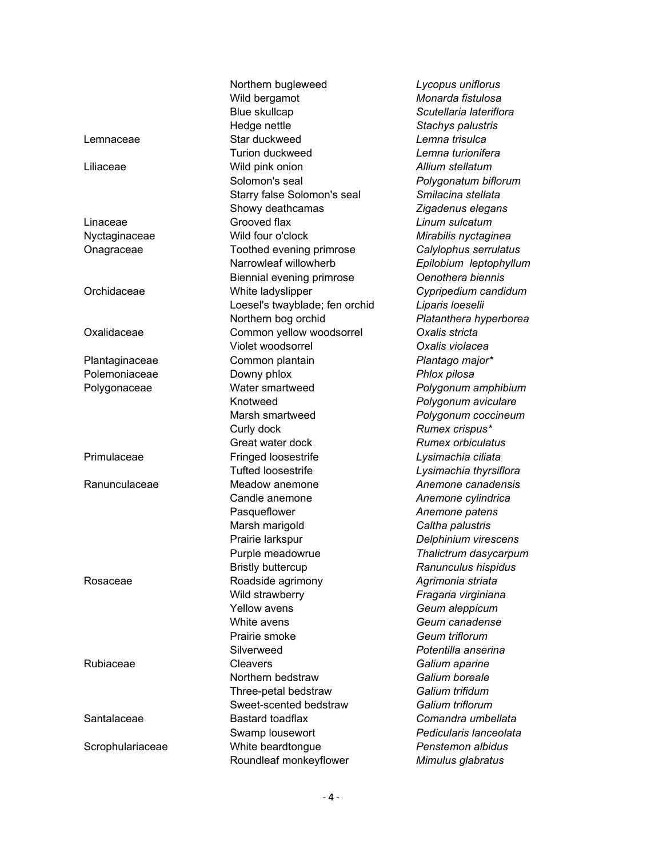|                  | Northern bugleweed<br>Wild bergamot<br>Blue skullcap                                 | Lycopus uniflorus<br>Monarda fistulosa<br>Scutellaria lateriflora                   |
|------------------|--------------------------------------------------------------------------------------|-------------------------------------------------------------------------------------|
| Lemnaceae        | Hedge nettle<br>Star duckweed<br><b>Turion duckweed</b>                              | Stachys palustris<br>Lemna trisulca<br>Lemna turionifera                            |
| Liliaceae        | Wild pink onion<br>Solomon's seal<br>Starry false Solomon's seal<br>Showy deathcamas | Allium stellatum<br>Polygonatum biflorum<br>Smilacina stellata<br>Zigadenus elegans |
| Linaceae         | Grooved flax                                                                         | Linum sulcatum                                                                      |
| Nyctaginaceae    | Wild four o'clock                                                                    | Mirabilis nyctaginea                                                                |
| Onagraceae       | Toothed evening primrose<br>Narrowleaf willowherb<br>Biennial evening primrose       | Calylophus serrulatus<br>Epilobium leptophyllum<br>Oenothera biennis                |
| Orchidaceae      | White ladyslipper<br>Loesel's twayblade; fen orchid<br>Northern bog orchid           | Cypripedium candidum<br>Liparis loeselii<br>Platanthera hyperborea                  |
| Oxalidaceae      | Common yellow woodsorrel<br>Violet woodsorrel                                        | Oxalis stricta<br>Oxalis violacea                                                   |
| Plantaginaceae   | Common plantain                                                                      | Plantago major*                                                                     |
| Polemoniaceae    | Downy phlox                                                                          | Phlox pilosa                                                                        |
| Polygonaceae     | Water smartweed                                                                      | Polygonum amphibium                                                                 |
|                  | Knotweed                                                                             | Polygonum aviculare                                                                 |
|                  | Marsh smartweed                                                                      | Polygonum coccineum                                                                 |
|                  | Curly dock                                                                           | Rumex crispus*                                                                      |
|                  | Great water dock                                                                     | <b>Rumex orbiculatus</b>                                                            |
| Primulaceae      | Fringed loosestrife                                                                  | Lysimachia ciliata                                                                  |
|                  | <b>Tufted loosestrife</b>                                                            | Lysimachia thyrsiflora                                                              |
| Ranunculaceae    | Meadow anemone                                                                       | Anemone canadensis                                                                  |
|                  | Candle anemone                                                                       | Anemone cylindrica                                                                  |
|                  | Pasqueflower                                                                         | Anemone patens                                                                      |
|                  | Marsh marigold                                                                       | Caltha palustris                                                                    |
|                  | Prairie larkspur                                                                     | Delphinium virescens                                                                |
|                  | Purple meadowrue                                                                     | Thalictrum dasycarpum                                                               |
|                  | <b>Bristly buttercup</b>                                                             | Ranunculus hispidus                                                                 |
| Rosaceae         | Roadside agrimony                                                                    | Agrimonia striata                                                                   |
|                  | Wild strawberry                                                                      | Fragaria virginiana                                                                 |
|                  | <b>Yellow avens</b>                                                                  | Geum aleppicum                                                                      |
|                  | White avens                                                                          | Geum canadense                                                                      |
|                  | Prairie smoke                                                                        | Geum triflorum                                                                      |
|                  | Silverweed                                                                           | Potentilla anserina                                                                 |
| Rubiaceae        | Cleavers                                                                             | Galium aparine                                                                      |
|                  | Northern bedstraw                                                                    | Galium boreale                                                                      |
|                  | Three-petal bedstraw                                                                 | Galium trifidum                                                                     |
|                  | Sweet-scented bedstraw                                                               | Galium triflorum                                                                    |
| Santalaceae      | Bastard toadflax                                                                     | Comandra umbellata                                                                  |
|                  | Swamp lousewort                                                                      | Pedicularis lanceolata                                                              |
| Scrophulariaceae | White beardtongue                                                                    | Penstemon albidus                                                                   |
|                  | Roundleaf monkeyflower                                                               | Mimulus glabratus                                                                   |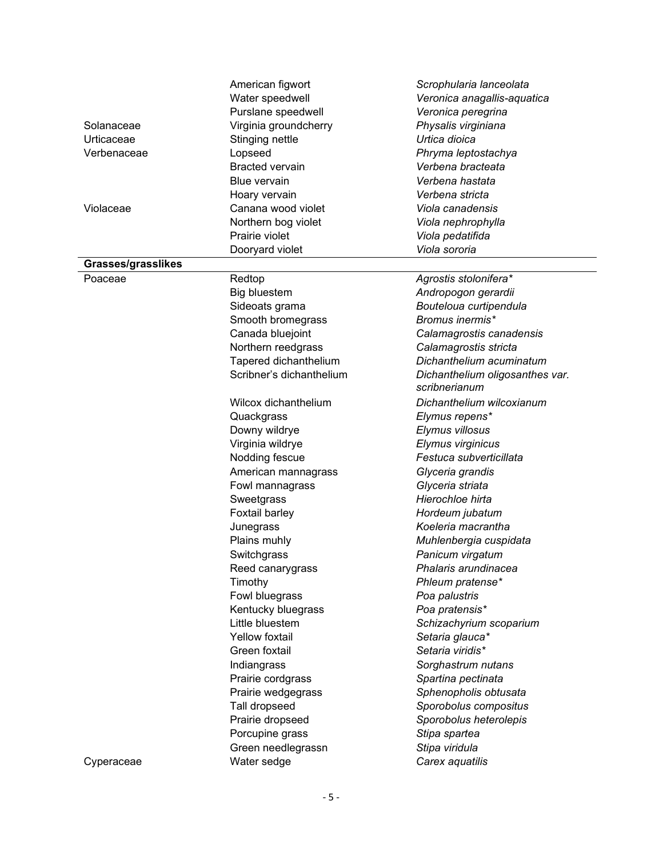|                    | American figwort         | Scrophularia lanceolata         |
|--------------------|--------------------------|---------------------------------|
|                    | Water speedwell          | Veronica anagallis-aquatica     |
|                    | Purslane speedwell       | Veronica peregrina              |
| Solanaceae         | Virginia groundcherry    | Physalis virginiana             |
| Urticaceae         | Stinging nettle          | Urtica dioica                   |
| Verbenaceae        | Lopseed                  | Phryma leptostachya             |
|                    | <b>Bracted vervain</b>   | Verbena bracteata               |
|                    | <b>Blue vervain</b>      | Verbena hastata                 |
|                    | Hoary vervain            | Verbena stricta                 |
| Violaceae          | Canana wood violet       | Viola canadensis                |
|                    | Northern bog violet      | Viola nephrophylla              |
|                    | Prairie violet           | Viola pedatifida                |
|                    | Dooryard violet          | Viola sororia                   |
| Grasses/grasslikes |                          |                                 |
| Poaceae            | Redtop                   | Agrostis stolonifera*           |
|                    | Big bluestem             | Andropogon gerardii             |
|                    | Sideoats grama           | Bouteloua curtipendula          |
|                    | Smooth bromegrass        | Bromus inermis*                 |
|                    | Canada bluejoint         | Calamagrostis canadensis        |
|                    | Northern reedgrass       | Calamagrostis stricta           |
|                    | Tapered dichanthelium    | Dichanthelium acuminatum        |
|                    | Scribner's dichanthelium | Dichanthelium oligosanthes var. |
|                    |                          | scribnerianum                   |
|                    | Wilcox dichanthelium     | Dichanthelium wilcoxianum       |
|                    | Quackgrass               | Elymus repens*                  |
|                    | Downy wildrye            | Elymus villosus                 |
|                    | Virginia wildrye         | Elymus virginicus               |
|                    | Nodding fescue           | Festuca subverticillata         |
|                    | American mannagrass      | Glyceria grandis                |
|                    | Fowl mannagrass          | Glyceria striata                |
|                    | Sweetgrass               | Hierochloe hirta                |
|                    | Foxtail barley           | Hordeum jubatum                 |
|                    | Junegrass                | Koeleria macrantha              |
|                    | Plains muhly             | Muhlenbergia cuspidata          |
|                    | Switchgrass              | Panicum virgatum                |
|                    | Reed canarygrass         | Phalaris arundinacea            |
|                    | Timothy                  | Phleum pratense*                |
|                    | Fowl bluegrass           | Poa palustris                   |
|                    | Kentucky bluegrass       | Poa pratensis*                  |
|                    | Little bluestem          | Schizachyrium scoparium         |
|                    | <b>Yellow foxtail</b>    | Setaria glauca*                 |
|                    | Green foxtail            | Setaria viridis*                |
|                    | Indiangrass              | Sorghastrum nutans              |
|                    | Prairie cordgrass        | Spartina pectinata              |
|                    | Prairie wedgegrass       | Sphenopholis obtusata           |
|                    | Tall dropseed            | Sporobolus compositus           |
|                    | Prairie dropseed         | Sporobolus heterolepis          |
|                    | Porcupine grass          | Stipa spartea                   |
|                    | Green needlegrassn       | Stipa viridula                  |
| Cyperaceae         | Water sedge              | Carex aquatilis                 |
|                    |                          |                                 |